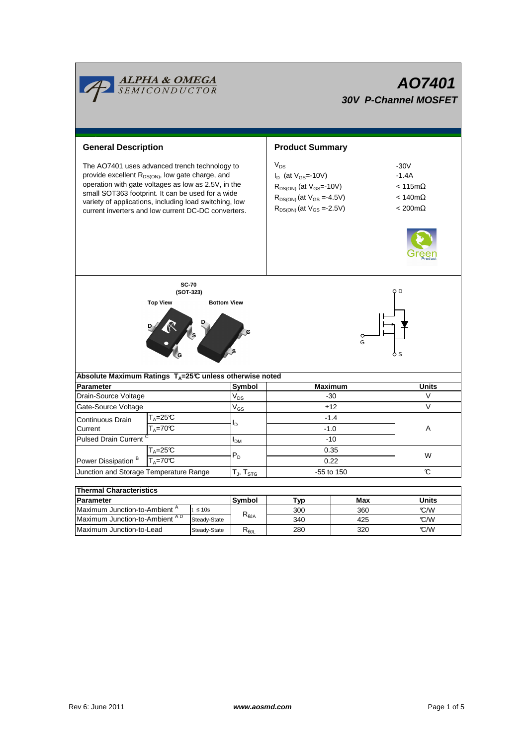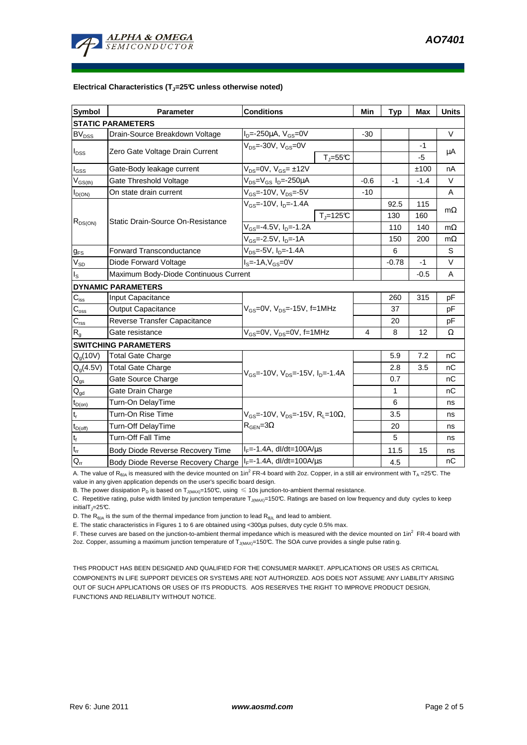#### **Electrical Characteristics (TJ=25°C unless otherwise noted)**

| <b>Symbol</b>              | <b>Parameter</b>                         | <b>Conditions</b>                                                                         |               | Min    | <b>Typ</b> | <b>Max</b> | <b>Units</b> |
|----------------------------|------------------------------------------|-------------------------------------------------------------------------------------------|---------------|--------|------------|------------|--------------|
| <b>STATIC PARAMETERS</b>   |                                          |                                                                                           |               |        |            |            |              |
| BV <sub>DSS</sub>          | Drain-Source Breakdown Voltage           | $I_D = -250 \mu A$ , $V_{GS} = 0V$                                                        |               | $-30$  |            |            | $\vee$       |
| $I_{DSS}$                  | Zero Gate Voltage Drain Current          | $V_{DS}$ =-30V, $V_{GS}$ =0V                                                              | $T_{J} = 55C$ |        |            | -1<br>-5   | μA           |
| $I_{\rm GSS}$              | Gate-Body leakage current                | $V_{DS} = 0V$ , $V_{GS} = \pm 12V$                                                        |               |        |            | ±100       | nA           |
| $V_{GS(th)}$               | Gate Threshold Voltage                   | $V_{DS} = V_{GS} I_D = -250 \mu A$                                                        |               | $-0.6$ | -1         | $-1.4$     | $\vee$       |
| $I_{D(ON)}$                | On state drain current                   | $V_{GS}$ =-10V, $V_{DS}$ =-5V                                                             |               | $-10$  |            |            | A            |
| $R_{DS(ON)}$               | <b>Static Drain-Source On-Resistance</b> | $V_{GS}$ =-10V, $I_{D}$ =-1.4A                                                            |               |        | 92.5       | 115        |              |
|                            |                                          |                                                                                           | $Tj=125C$     |        | 130        | 160        | $m\Omega$    |
|                            |                                          | $V_{GS}$ =-4.5V, $I_{D}$ =-1.2A                                                           |               |        | 110        | 140        | $m\Omega$    |
|                            |                                          | V <sub>GS</sub> =-2.5V, I <sub>D</sub> =-1A                                               |               |        | 150        | 200        | $m\Omega$    |
| $g_{FS}$                   | <b>Forward Transconductance</b>          | V <sub>DS</sub> =-5V, I <sub>D</sub> =-1.4A                                               |               |        | 6          |            | S            |
| $V_{SD}$                   | Diode Forward Voltage                    | $IS=-1A, VGS=0V$                                                                          |               |        | $-0.78$    | $-1$       | $\vee$       |
| I <sub>s</sub>             | Maximum Body-Diode Continuous Current    |                                                                                           |               |        |            | $-0.5$     | A            |
|                            | <b>DYNAMIC PARAMETERS</b>                |                                                                                           |               |        |            |            |              |
| $C_{\mathsf{iss}}$         | Input Capacitance                        | V <sub>GS</sub> =0V, V <sub>DS</sub> =-15V, f=1MHz                                        |               |        | 260        | 315        | pF           |
| $C_{\rm oss}$              | <b>Output Capacitance</b>                |                                                                                           |               |        | 37         |            | pF           |
| $\mathsf{C}_{\text{rss}}$  | Reverse Transfer Capacitance             |                                                                                           |               |        | 20         |            | pF           |
| $R_{q}$                    | Gate resistance                          | $V_{GS}$ =0V, $V_{DS}$ =0V, f=1MHz                                                        |               | 4      | 8          | 12         | Ω            |
|                            | <b>SWITCHING PARAMETERS</b>              |                                                                                           |               |        |            |            |              |
| $Q_q(10V)$                 | Total Gate Charge                        |                                                                                           |               |        | 5.9        | 7.2        | nС           |
| $Q_q(4.5V)$                | <b>Total Gate Charge</b>                 | $V_{GS}$ =-10V, $V_{DS}$ =-15V, $I_{D}$ =-1.4A                                            |               |        | 2.8        | 3.5        | nC           |
| $\mathsf{Q}_{\mathsf{gs}}$ | Gate Source Charge                       |                                                                                           |               |        | 0.7        |            | nС           |
| $Q_{gd}$                   | Gate Drain Charge                        |                                                                                           |               |        | 1          |            | nC           |
| $t_{D(on)}$                | Turn-On DelayTime                        |                                                                                           |               |        | 6          |            | ns           |
| t,                         | Turn-On Rise Time                        | $V_{GS}$ =-10V, V <sub>DS</sub> =-15V, R <sub>L</sub> =10Ω,<br>$R_{\text{GEN}} = 3\Omega$ |               |        | 3.5        |            | ns           |
| $t_{D(off)}$               | Turn-Off DelayTime                       |                                                                                           |               |        | 20         |            | ns           |
| $t_f$                      | <b>Turn-Off Fall Time</b>                |                                                                                           |               |        | 5          |            | ns           |
| $t_{rr}$                   | Body Diode Reverse Recovery Time         | $I_F = -1.4A$ , dl/dt=100A/ $\mu$ s                                                       |               |        | 11.5       | 15         | ns           |
| $Q_{rr}$                   | Body Diode Reverse Recovery Charge       | $I_F = -1.4A$ , dl/dt=100A/us                                                             |               |        | 4.5        |            | nC           |

A. The value of R<sub>θJA</sub> is measured with the device mounted on 1in<sup>2</sup> FR-4 board with 2oz. Copper, in a still air environment with T<sub>A</sub> =25℃. The value in any given application depends on the user's specific board design.

B. The power dissipation P<sub>D</sub> is based on T<sub>J(MAX)</sub>=150°C, using  $\leq 10$ s junction-to-ambient thermal resistance.

C. Repetitive rating, pulse width limited by junction temperature T<sub>J(MAX)</sub>=150°C. Ratings are based on low frequency and duty cycles to keep  $initialT = 25^{\circ}C$ .

D. The  $R_{\theta JA}$  is the sum of the thermal impedance from junction to lead  $R_{\theta JL}$  and lead to ambient.

E. The static characteristics in Figures 1 to 6 are obtained using <300µs pulses, duty cycle 0.5% max.

F. These curves are based on the junction-to-ambient thermal impedance which is measured with the device mounted on 1in<sup>2</sup> FR-4 board with 2oz. Copper, assuming a maximum junction temperature of  $T_{J(MAX)}$ =150°C. The SOA curve provides a single pulse ratin g.

THIS PRODUCT HAS BEEN DESIGNED AND QUALIFIED FOR THE CONSUMER MARKET. APPLICATIONS OR USES AS CRITICAL COMPONENTS IN LIFE SUPPORT DEVICES OR SYSTEMS ARE NOT AUTHORIZED. AOS DOES NOT ASSUME ANY LIABILITY ARISING OUT OF SUCH APPLICATIONS OR USES OF ITS PRODUCTS. AOS RESERVES THE RIGHT TO IMPROVE PRODUCT DESIGN, FUNCTIONS AND RELIABILITY WITHOUT NOTICE.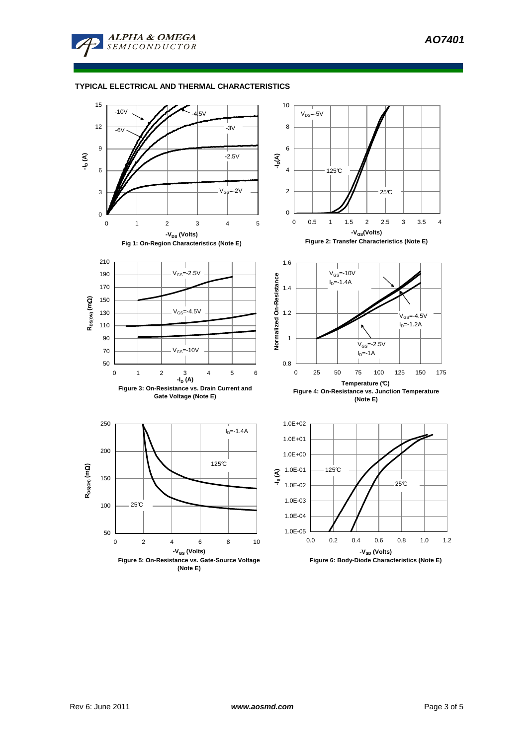

## **TYPICAL ELECTRICAL AND THERMAL CHARACTERISTICS**

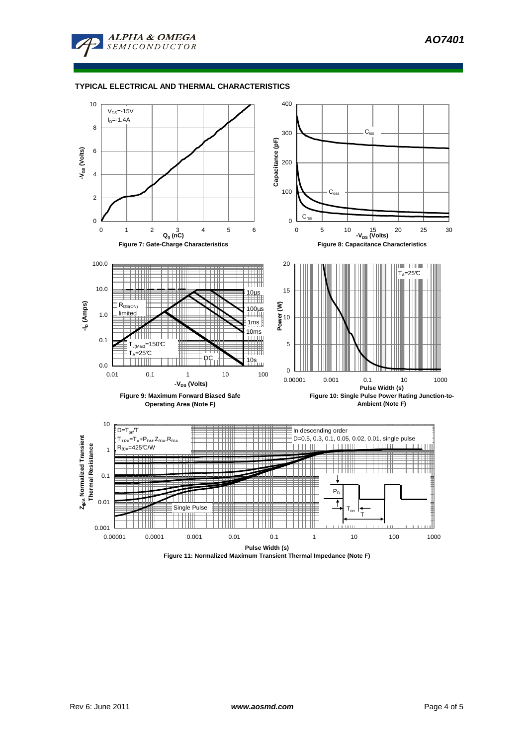

## **TYPICAL ELECTRICAL AND THERMAL CHARACTERISTICS**



**Figure 11: Normalized Maximum Transient Thermal Impedance (Note F)**